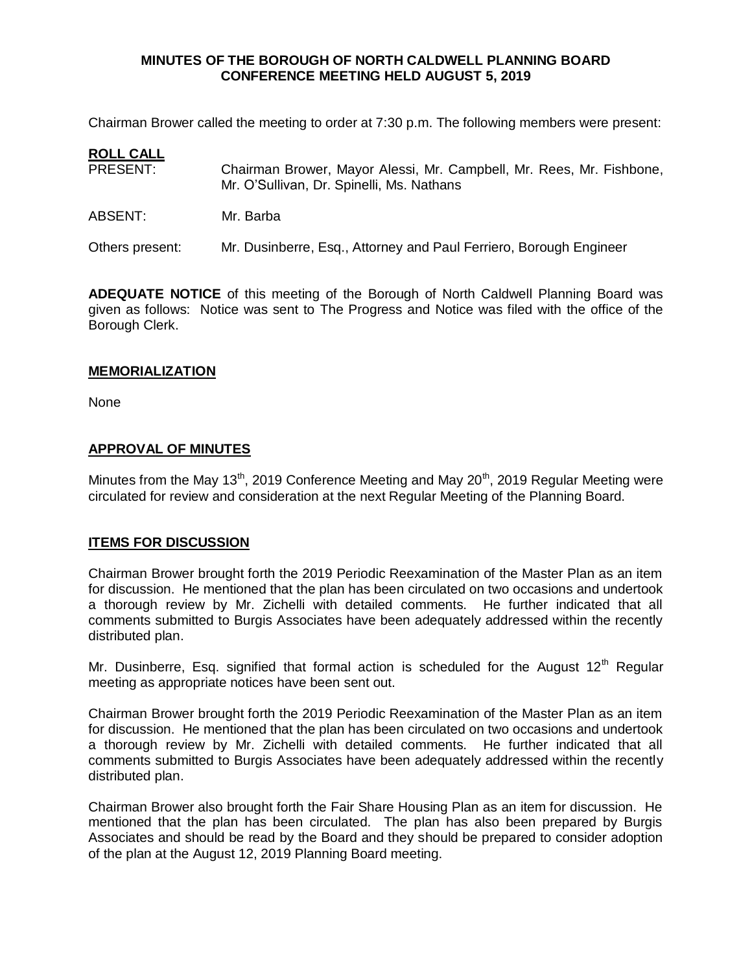### **MINUTES OF THE BOROUGH OF NORTH CALDWELL PLANNING BOARD CONFERENCE MEETING HELD AUGUST 5, 2019**

Chairman Brower called the meeting to order at 7:30 p.m. The following members were present:

# **ROLL CALL**

- PRESENT: Chairman Brower, Mayor Alessi, Mr. Campbell, Mr. Rees, Mr. Fishbone, Mr. O'Sullivan, Dr. Spinelli, Ms. Nathans
- ABSENT: Mr. Barba

Others present: Mr. Dusinberre, Esq., Attorney and Paul Ferriero, Borough Engineer

**ADEQUATE NOTICE** of this meeting of the Borough of North Caldwell Planning Board was given as follows: Notice was sent to The Progress and Notice was filed with the office of the Borough Clerk.

### **MEMORIALIZATION**

None

# **APPROVAL OF MINUTES**

Minutes from the May 13<sup>th</sup>, 2019 Conference Meeting and May 20<sup>th</sup>, 2019 Regular Meeting were circulated for review and consideration at the next Regular Meeting of the Planning Board.

# **ITEMS FOR DISCUSSION**

Chairman Brower brought forth the 2019 Periodic Reexamination of the Master Plan as an item for discussion. He mentioned that the plan has been circulated on two occasions and undertook a thorough review by Mr. Zichelli with detailed comments. He further indicated that all comments submitted to Burgis Associates have been adequately addressed within the recently distributed plan.

Mr. Dusinberre, Esq. signified that formal action is scheduled for the August  $12<sup>th</sup>$  Regular meeting as appropriate notices have been sent out.

Chairman Brower brought forth the 2019 Periodic Reexamination of the Master Plan as an item for discussion. He mentioned that the plan has been circulated on two occasions and undertook a thorough review by Mr. Zichelli with detailed comments. He further indicated that all comments submitted to Burgis Associates have been adequately addressed within the recently distributed plan.

Chairman Brower also brought forth the Fair Share Housing Plan as an item for discussion. He mentioned that the plan has been circulated. The plan has also been prepared by Burgis Associates and should be read by the Board and they should be prepared to consider adoption of the plan at the August 12, 2019 Planning Board meeting.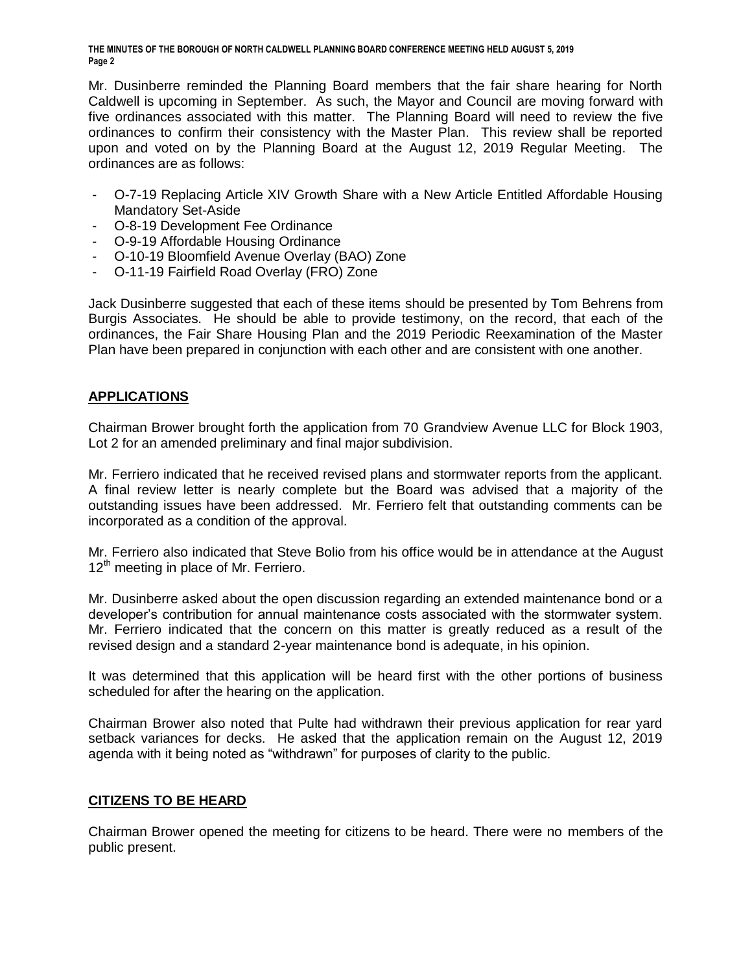**THE MINUTES OF THE BOROUGH OF NORTH CALDWELL PLANNING BOARD CONFERENCE MEETING HELD AUGUST 5, 2019 Page 2**

Mr. Dusinberre reminded the Planning Board members that the fair share hearing for North Caldwell is upcoming in September. As such, the Mayor and Council are moving forward with five ordinances associated with this matter. The Planning Board will need to review the five ordinances to confirm their consistency with the Master Plan. This review shall be reported upon and voted on by the Planning Board at the August 12, 2019 Regular Meeting. The ordinances are as follows:

- O-7-19 Replacing Article XIV Growth Share with a New Article Entitled Affordable Housing Mandatory Set-Aside
- O-8-19 Development Fee Ordinance
- O-9-19 Affordable Housing Ordinance
- O-10-19 Bloomfield Avenue Overlay (BAO) Zone
- O-11-19 Fairfield Road Overlay (FRO) Zone

Jack Dusinberre suggested that each of these items should be presented by Tom Behrens from Burgis Associates. He should be able to provide testimony, on the record, that each of the ordinances, the Fair Share Housing Plan and the 2019 Periodic Reexamination of the Master Plan have been prepared in conjunction with each other and are consistent with one another.

# **APPLICATIONS**

Chairman Brower brought forth the application from 70 Grandview Avenue LLC for Block 1903, Lot 2 for an amended preliminary and final major subdivision.

Mr. Ferriero indicated that he received revised plans and stormwater reports from the applicant. A final review letter is nearly complete but the Board was advised that a majority of the outstanding issues have been addressed. Mr. Ferriero felt that outstanding comments can be incorporated as a condition of the approval.

Mr. Ferriero also indicated that Steve Bolio from his office would be in attendance at the August  $12<sup>th</sup>$  meeting in place of Mr. Ferriero.

Mr. Dusinberre asked about the open discussion regarding an extended maintenance bond or a developer's contribution for annual maintenance costs associated with the stormwater system. Mr. Ferriero indicated that the concern on this matter is greatly reduced as a result of the revised design and a standard 2-year maintenance bond is adequate, in his opinion.

It was determined that this application will be heard first with the other portions of business scheduled for after the hearing on the application.

Chairman Brower also noted that Pulte had withdrawn their previous application for rear yard setback variances for decks. He asked that the application remain on the August 12, 2019 agenda with it being noted as "withdrawn" for purposes of clarity to the public.

# **CITIZENS TO BE HEARD**

Chairman Brower opened the meeting for citizens to be heard. There were no members of the public present.